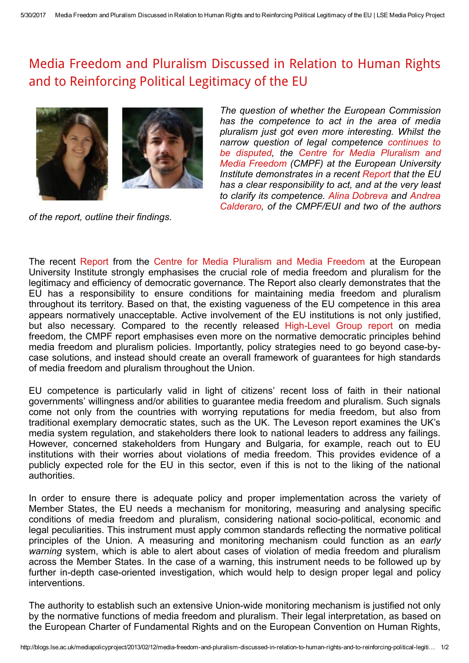## Media Freedom and Pluralism Discussed in Relation to Human Rights and to [Reinforcing](http://blogs.lse.ac.uk/mediapolicyproject/2013/02/12/media-freedom-and-pluralism-discussed-in-relation-to-human-rights-and-to-reinforcing-political-legitimacy-of-the-eu/) Political Legitimacy of the EU





The question of whether the European Commission has the competence to act in the area of media pluralism just got even more interesting. Whilst the narrow question of legal [competence](http://blogs.lse.ac.uk/mediapolicyproject/2013/02/01/media-pluralism-in-europe-signs-of-progress/) continues to be disputed, the Centre for Media Pluralism and Media Freedom (CMPF) at the European [University](http://cmpf.eui.eu/Home.aspx) Institute demonstrates in a recent [Report](http://cmpf.eui.eu/publications/policyreport.aspx) that the EU has a clear responsibility to act, and at the very least to clarify its [competence.](http://www.eui.eu/Personal/Researchers/calderaro/Sito/Home.html) Alina [Dobreva](http://www.eui.eu/DepartmentsAndCentres/RobertSchumanCentre/People/AcademicAssistants/Dobreva.aspx) and Andrea Calderaro, of the CMPF/EUI and two of the authors

of the report, outline their findings.

The recent [Report](http://cmpf.eui.eu/publications/policyreport.aspx) from the Centre for Media [Pluralism](http://cmpf.eui.eu/Home.aspx) and Media Freedom at the European University Institute strongly emphasises the crucial role of media freedom and pluralism for the legitimacy and efficiency of democratic governance. The Report also clearly demonstrates that the EU has a responsibility to ensure conditions for maintaining media freedom and pluralism throughout its territory. Based on that, the existing vagueness of the EU competence in this area appears normatively unacceptable. Active involvement of the EU institutions is not only justified, but also necessary. Compared to the recently released High-Level Group report on media freedom, the CMPF report emphasises even more on the normative democratic principles behind media freedom and pluralism policies. Importantly, policy strategies need to go beyond case-bycase solutions, and instead should create an overall framework of guarantees for high standards of media freedom and pluralism throughout the Union.

EU competence is particularly valid in light of citizens' recent loss of faith in their national governments' willingness and/or abilities to guarantee media freedom and pluralism. Such signals come not only from the countries with worrying reputations for media freedom, but also from traditional exemplary democratic states, such as the UK. The Leveson report examines the UK's media system regulation, and stakeholders there look to national leaders to address any failings. However, concerned stakeholders from Hungary and Bulgaria, for example, reach out to EU institutions with their worries about violations of media freedom. This provides evidence of a publicly expected role for the EU in this sector, even if this is not to the liking of the national authorities.

In order to ensure there is adequate policy and proper implementation across the variety of Member States, the EU needs a mechanism for monitoring, measuring and analysing specific conditions of media freedom and pluralism, considering national sociopolitical, economic and legal peculiarities. This instrument must apply common standards reflecting the normative political principles of the Union. A measuring and monitoring mechanism could function as an early warning system, which is able to alert about cases of violation of media freedom and pluralism across the Member States. In the case of a warning, this instrument needs to be followed up by further in-depth case-oriented investigation, which would help to design proper legal and policy interventions.

The authority to establish such an extensive Union-wide monitoring mechanism is justified not only by the normative functions of media freedom and pluralism. Their legal interpretation, as based on the European Charter of Fundamental Rights and on the European Convention on Human Rights,